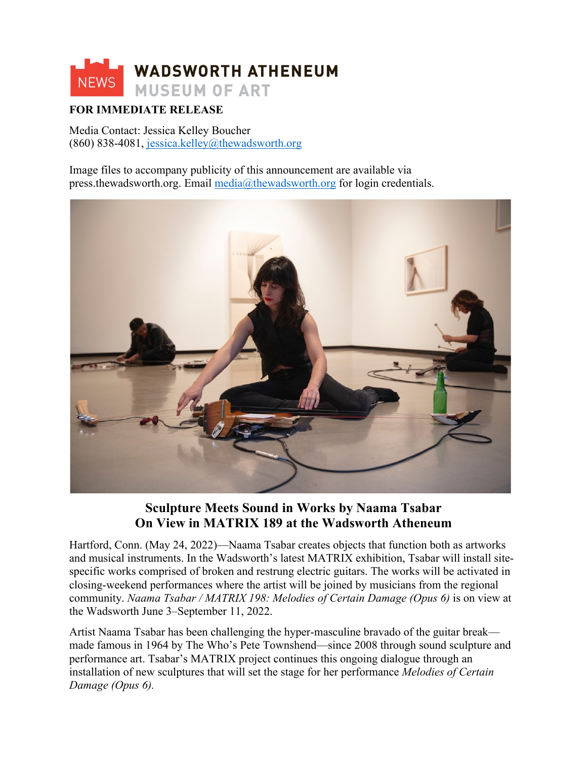

# **FOR IMMEDIATE RELEASE**

Media Contact: Jessica Kelley Boucher (860) 838-4081, jessica.kelley@thewadsworth.org

Image files to accompany publicity of this announcement are available via press.thewadsworth.org. Email media@thewadsworth.org for login credentials.



# **Sculpture Meets Sound in Works by Naama Tsabar On View in MATRIX 189 at the Wadsworth Atheneum**

Hartford, Conn. (May 24, 2022)—Naama Tsabar creates objects that function both as artworks and musical instruments. In the Wadsworth's latest MATRIX exhibition, Tsabar will install sitespecific works comprised of broken and restrung electric guitars. The works will be activated in closing-weekend performances where the artist will be joined by musicians from the regional community. *Naama Tsabar / MATRIX 198: Melodies of Certain Damage (Opus 6)* is on view at the Wadsworth June 3–September 11, 2022.

Artist Naama Tsabar has been challenging the hyper-masculine bravado of the guitar break made famous in 1964 by The Who's Pete Townshend—since 2008 through sound sculpture and performance art. Tsabar's MATRIX project continues this ongoing dialogue through an installation of new sculptures that will set the stage for her performance *Melodies of Certain Damage (Opus 6).*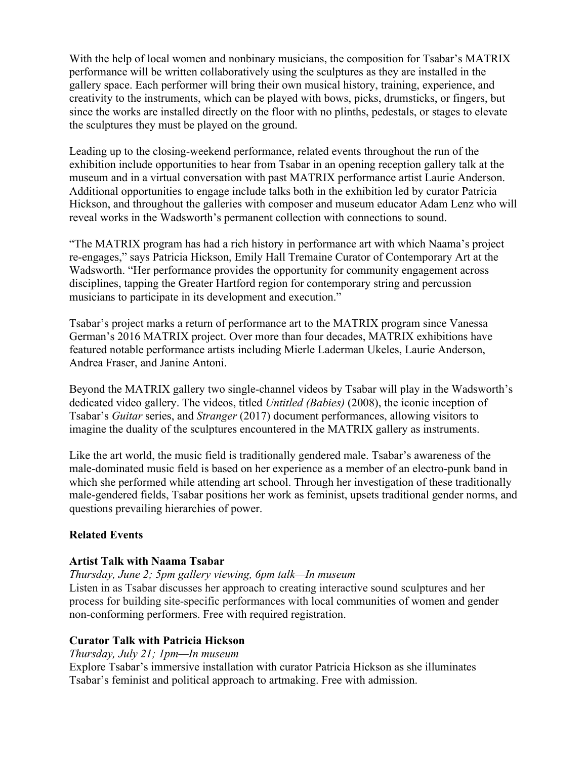With the help of local women and nonbinary musicians, the composition for Tsabar's MATRIX performance will be written collaboratively using the sculptures as they are installed in the gallery space. Each performer will bring their own musical history, training, experience, and creativity to the instruments, which can be played with bows, picks, drumsticks, or fingers, but since the works are installed directly on the floor with no plinths, pedestals, or stages to elevate the sculptures they must be played on the ground.

Leading up to the closing-weekend performance, related events throughout the run of the exhibition include opportunities to hear from Tsabar in an opening reception gallery talk at the museum and in a virtual conversation with past MATRIX performance artist Laurie Anderson. Additional opportunities to engage include talks both in the exhibition led by curator Patricia Hickson, and throughout the galleries with composer and museum educator Adam Lenz who will reveal works in the Wadsworth's permanent collection with connections to sound.

"The MATRIX program has had a rich history in performance art with which Naama's project re-engages," says Patricia Hickson, Emily Hall Tremaine Curator of Contemporary Art at the Wadsworth. "Her performance provides the opportunity for community engagement across disciplines, tapping the Greater Hartford region for contemporary string and percussion musicians to participate in its development and execution."

Tsabar's project marks a return of performance art to the MATRIX program since Vanessa German's 2016 MATRIX project. Over more than four decades, MATRIX exhibitions have featured notable performance artists including Mierle Laderman Ukeles, Laurie Anderson, Andrea Fraser, and Janine Antoni.

Beyond the MATRIX gallery two single-channel videos by Tsabar will play in the Wadsworth's dedicated video gallery. The videos, titled *Untitled (Babies)* (2008), the iconic inception of Tsabar's *Guitar* series, and *Stranger* (2017) document performances, allowing visitors to imagine the duality of the sculptures encountered in the MATRIX gallery as instruments.

Like the art world, the music field is traditionally gendered male. Tsabar's awareness of the male-dominated music field is based on her experience as a member of an electro-punk band in which she performed while attending art school. Through her investigation of these traditionally male-gendered fields, Tsabar positions her work as feminist, upsets traditional gender norms, and questions prevailing hierarchies of power.

## **Related Events**

#### **Artist Talk with Naama Tsabar**

*Thursday, June 2; 5pm gallery viewing, 6pm talk—In museum* 

Listen in as Tsabar discusses her approach to creating interactive sound sculptures and her process for building site-specific performances with local communities of women and gender non-conforming performers. Free with required registration.

## **Curator Talk with Patricia Hickson**

*Thursday, July 21; 1pm—In museum*

Explore Tsabar's immersive installation with curator Patricia Hickson as she illuminates Tsabar's feminist and political approach to artmaking. Free with admission.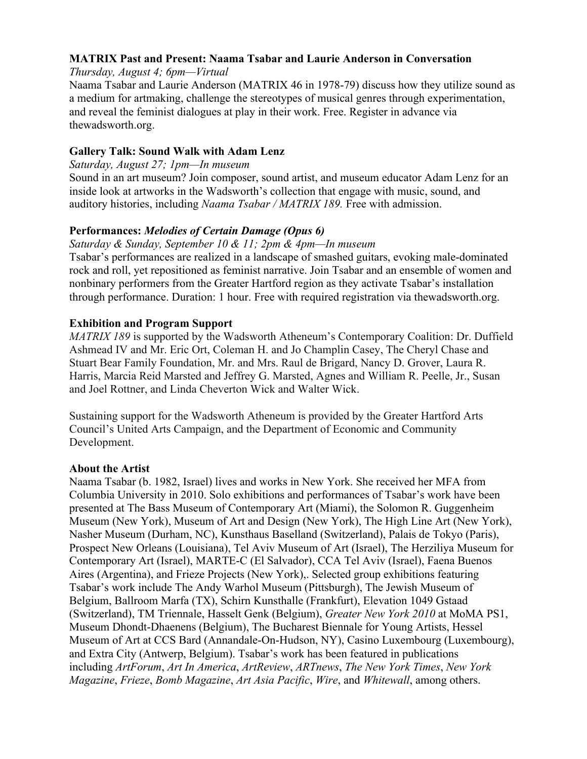## **MATRIX Past and Present: Naama Tsabar and Laurie Anderson in Conversation**

*Thursday, August 4; 6pm—Virtual* 

Naama Tsabar and Laurie Anderson (MATRIX 46 in 1978-79) discuss how they utilize sound as a medium for artmaking, challenge the stereotypes of musical genres through experimentation, and reveal the feminist dialogues at play in their work. Free. Register in advance via thewadsworth.org.

## **Gallery Talk: Sound Walk with Adam Lenz**

*Saturday, August 27; 1pm—In museum* 

Sound in an art museum? Join composer, sound artist, and museum educator Adam Lenz for an inside look at artworks in the Wadsworth's collection that engage with music, sound, and auditory histories, including *Naama Tsabar / MATRIX 189.* Free with admission.

# **Performances:** *Melodies of Certain Damage (Opus 6)*

*Saturday & Sunday, September 10 & 11; 2pm & 4pm—In museum*

Tsabar's performances are realized in a landscape of smashed guitars, evoking male-dominated rock and roll, yet repositioned as feminist narrative. Join Tsabar and an ensemble of women and nonbinary performers from the Greater Hartford region as they activate Tsabar's installation through performance. Duration: 1 hour. Free with required registration via thewadsworth.org.

# **Exhibition and Program Support**

*MATRIX 189* is supported by the Wadsworth Atheneum's Contemporary Coalition: Dr. Duffield Ashmead IV and Mr. Eric Ort, Coleman H. and Jo Champlin Casey, The Cheryl Chase and Stuart Bear Family Foundation, Mr. and Mrs. Raul de Brigard, Nancy D. Grover, Laura R. Harris, Marcia Reid Marsted and Jeffrey G. Marsted, Agnes and William R. Peelle, Jr., Susan and Joel Rottner, and Linda Cheverton Wick and Walter Wick.

Sustaining support for the Wadsworth Atheneum is provided by the Greater Hartford Arts Council's United Arts Campaign, and the Department of Economic and Community Development.

## **About the Artist**

Naama Tsabar (b. 1982, Israel) lives and works in New York. She received her MFA from Columbia University in 2010. Solo exhibitions and performances of Tsabar's work have been presented at The Bass Museum of Contemporary Art (Miami), the Solomon R. Guggenheim Museum (New York), Museum of Art and Design (New York), The High Line Art (New York), Nasher Museum (Durham, NC), Kunsthaus Baselland (Switzerland), Palais de Tokyo (Paris), Prospect New Orleans (Louisiana), Tel Aviv Museum of Art (Israel), The Herziliya Museum for Contemporary Art (Israel), MARTE-C (El Salvador), CCA Tel Aviv (Israel), Faena Buenos Aires (Argentina), and Frieze Projects (New York),. Selected group exhibitions featuring Tsabar's work include The Andy Warhol Museum (Pittsburgh), The Jewish Museum of Belgium, Ballroom Marfa (TX), Schirn Kunsthalle (Frankfurt), Elevation 1049 Gstaad (Switzerland), TM Triennale, Hasselt Genk (Belgium), *Greater New York 2010* at MoMA PS1, Museum Dhondt-Dhaenens (Belgium), The Bucharest Biennale for Young Artists, Hessel Museum of Art at CCS Bard (Annandale-On-Hudson, NY), Casino Luxembourg (Luxembourg), and Extra City (Antwerp, Belgium). Tsabar's work has been featured in publications including *ArtForum*, *Art In America*, *ArtReview*, *ARTnews*, *The New York Times*, *New York Magazine*, *Frieze*, *Bomb Magazine*, *Art Asia Pacific*, *Wire*, and *Whitewall*, among others.